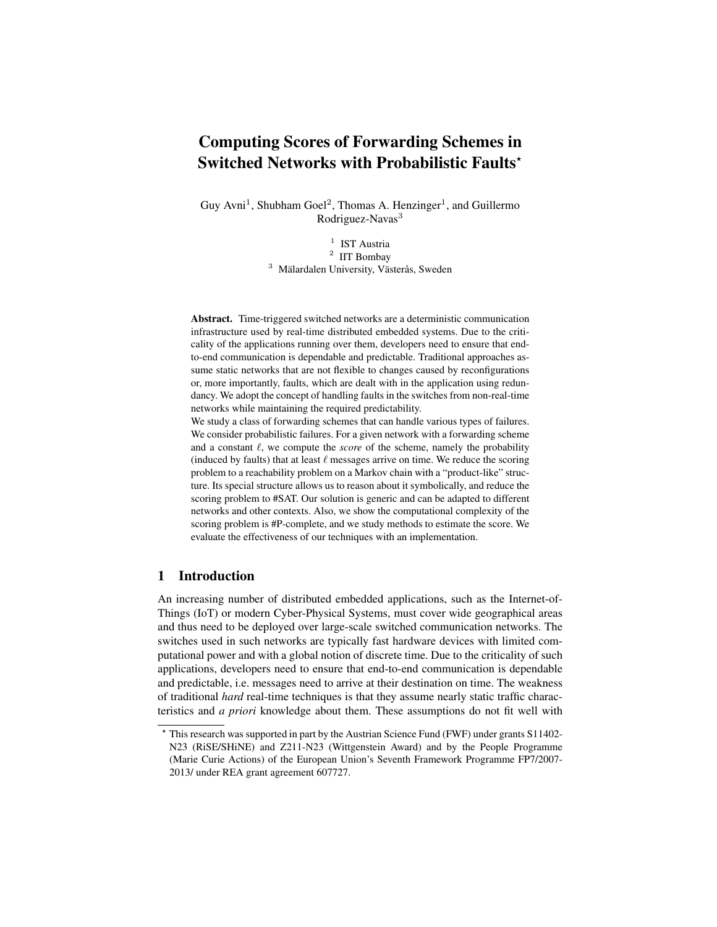## Computing Scores of Forwarding Schemes in Switched Networks with Probabilistic Faults<sup>\*</sup>

Guy Avni<sup>1</sup>, Shubham Goel<sup>2</sup>, Thomas A. Henzinger<sup>1</sup>, and Guillermo Rodriguez-Navas<sup>3</sup>

> <sup>1</sup> IST Austria 2 IIT Bombay  $3$  Mälardalen University, Västerås, Sweden

Abstract. Time-triggered switched networks are a deterministic communication infrastructure used by real-time distributed embedded systems. Due to the criticality of the applications running over them, developers need to ensure that endto-end communication is dependable and predictable. Traditional approaches assume static networks that are not flexible to changes caused by reconfigurations or, more importantly, faults, which are dealt with in the application using redundancy. We adopt the concept of handling faults in the switches from non-real-time networks while maintaining the required predictability.

We study a class of forwarding schemes that can handle various types of failures. We consider probabilistic failures. For a given network with a forwarding scheme and a constant  $\ell$ , we compute the *score* of the scheme, namely the probability (induced by faults) that at least  $\ell$  messages arrive on time. We reduce the scoring problem to a reachability problem on a Markov chain with a "product-like" structure. Its special structure allows us to reason about it symbolically, and reduce the scoring problem to #SAT. Our solution is generic and can be adapted to different networks and other contexts. Also, we show the computational complexity of the scoring problem is #P-complete, and we study methods to estimate the score. We evaluate the effectiveness of our techniques with an implementation.

## 1 Introduction

An increasing number of distributed embedded applications, such as the Internet-of-Things (IoT) or modern Cyber-Physical Systems, must cover wide geographical areas and thus need to be deployed over large-scale switched communication networks. The switches used in such networks are typically fast hardware devices with limited computational power and with a global notion of discrete time. Due to the criticality of such applications, developers need to ensure that end-to-end communication is dependable and predictable, i.e. messages need to arrive at their destination on time. The weakness of traditional *hard* real-time techniques is that they assume nearly static traffic characteristics and *a priori* knowledge about them. These assumptions do not fit well with

<sup>‹</sup> This research was supported in part by the Austrian Science Fund (FWF) under grants S11402- N23 (RiSE/SHiNE) and Z211-N23 (Wittgenstein Award) and by the People Programme (Marie Curie Actions) of the European Union's Seventh Framework Programme FP7/2007- 2013/ under REA grant agreement 607727.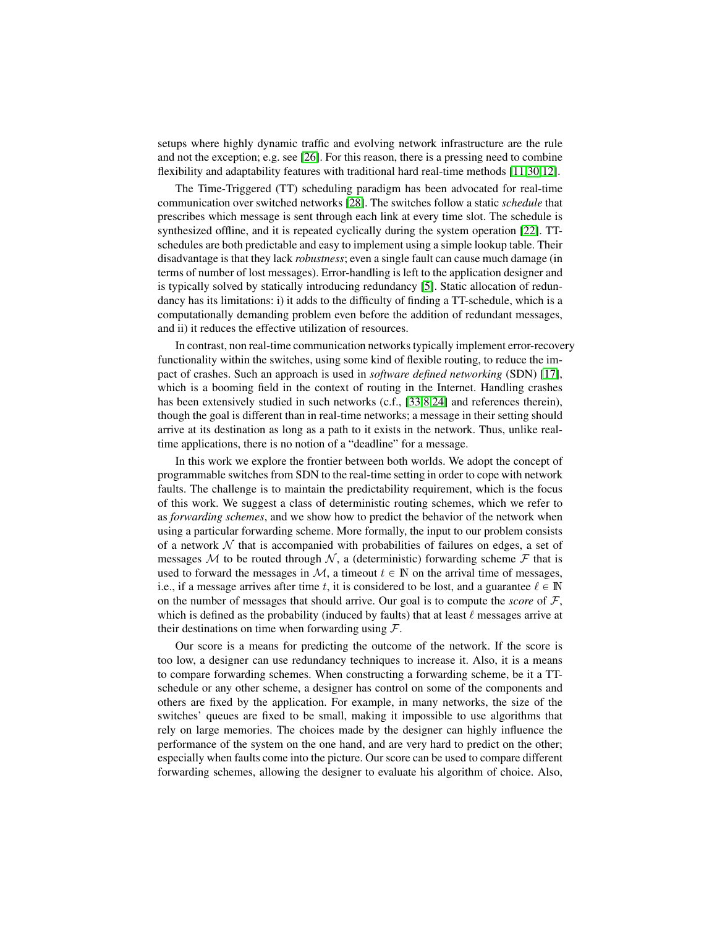setups where highly dynamic traffic and evolving network infrastructure are the rule and not the exception; e.g. see [\[26\]](#page-16-0). For this reason, there is a pressing need to combine flexibility and adaptability features with traditional hard real-time methods [\[11,](#page-15-0)[30,](#page-16-1)[12\]](#page-15-1).

The Time-Triggered (TT) scheduling paradigm has been advocated for real-time communication over switched networks [\[28\]](#page-16-2). The switches follow a static *schedule* that prescribes which message is sent through each link at every time slot. The schedule is synthesized offline, and it is repeated cyclically during the system operation [\[22\]](#page-16-3). TTschedules are both predictable and easy to implement using a simple lookup table. Their disadvantage is that they lack *robustness*; even a single fault can cause much damage (in terms of number of lost messages). Error-handling is left to the application designer and is typically solved by statically introducing redundancy [\[5\]](#page-15-2). Static allocation of redundancy has its limitations: i) it adds to the difficulty of finding a TT-schedule, which is a computationally demanding problem even before the addition of redundant messages, and ii) it reduces the effective utilization of resources.

In contrast, non real-time communication networks typically implement error-recovery functionality within the switches, using some kind of flexible routing, to reduce the impact of crashes. Such an approach is used in *software defined networking* (SDN) [\[17\]](#page-15-3), which is a booming field in the context of routing in the Internet. Handling crashes has been extensively studied in such networks (c.f., [\[33](#page-16-4)[,8](#page-15-4)[,24\]](#page-16-5) and references therein), though the goal is different than in real-time networks; a message in their setting should arrive at its destination as long as a path to it exists in the network. Thus, unlike realtime applications, there is no notion of a "deadline" for a message.

In this work we explore the frontier between both worlds. We adopt the concept of programmable switches from SDN to the real-time setting in order to cope with network faults. The challenge is to maintain the predictability requirement, which is the focus of this work. We suggest a class of deterministic routing schemes, which we refer to as *forwarding schemes*, and we show how to predict the behavior of the network when using a particular forwarding scheme. More formally, the input to our problem consists of a network  $N$  that is accompanied with probabilities of failures on edges, a set of messages M to be routed through  $\mathcal N$ , a (deterministic) forwarding scheme  $\mathcal F$  that is used to forward the messages in  $M$ , a timeout  $t \in \mathbb{N}$  on the arrival time of messages, i.e., if a message arrives after time t, it is considered to be lost, and a guarantee  $\ell \in \mathbb{N}$ on the number of messages that should arrive. Our goal is to compute the *score* of  $\mathcal{F}$ , which is defined as the probability (induced by faults) that at least  $\ell$  messages arrive at their destinations on time when forwarding using  $\mathcal{F}$ .

Our score is a means for predicting the outcome of the network. If the score is too low, a designer can use redundancy techniques to increase it. Also, it is a means to compare forwarding schemes. When constructing a forwarding scheme, be it a TTschedule or any other scheme, a designer has control on some of the components and others are fixed by the application. For example, in many networks, the size of the switches' queues are fixed to be small, making it impossible to use algorithms that rely on large memories. The choices made by the designer can highly influence the performance of the system on the one hand, and are very hard to predict on the other; especially when faults come into the picture. Our score can be used to compare different forwarding schemes, allowing the designer to evaluate his algorithm of choice. Also,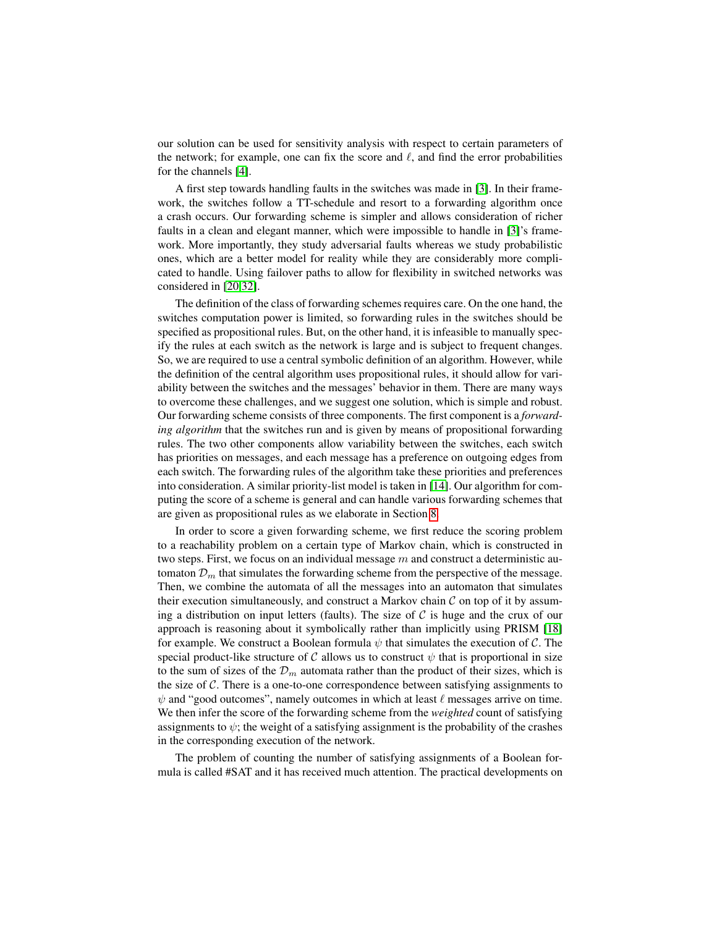our solution can be used for sensitivity analysis with respect to certain parameters of the network; for example, one can fix the score and  $\ell$ , and find the error probabilities for the channels [\[4\]](#page-15-5).

A first step towards handling faults in the switches was made in [\[3\]](#page-15-6). In their framework, the switches follow a TT-schedule and resort to a forwarding algorithm once a crash occurs. Our forwarding scheme is simpler and allows consideration of richer faults in a clean and elegant manner, which were impossible to handle in [\[3\]](#page-15-6)'s framework. More importantly, they study adversarial faults whereas we study probabilistic ones, which are a better model for reality while they are considerably more complicated to handle. Using failover paths to allow for flexibility in switched networks was considered in [\[20](#page-16-6)[,32\]](#page-16-7).

The definition of the class of forwarding schemes requires care. On the one hand, the switches computation power is limited, so forwarding rules in the switches should be specified as propositional rules. But, on the other hand, it is infeasible to manually specify the rules at each switch as the network is large and is subject to frequent changes. So, we are required to use a central symbolic definition of an algorithm. However, while the definition of the central algorithm uses propositional rules, it should allow for variability between the switches and the messages' behavior in them. There are many ways to overcome these challenges, and we suggest one solution, which is simple and robust. Our forwarding scheme consists of three components. The first component is a *forwarding algorithm* that the switches run and is given by means of propositional forwarding rules. The two other components allow variability between the switches, each switch has priorities on messages, and each message has a preference on outgoing edges from each switch. The forwarding rules of the algorithm take these priorities and preferences into consideration. A similar priority-list model is taken in [\[14\]](#page-15-7). Our algorithm for computing the score of a scheme is general and can handle various forwarding schemes that are given as propositional rules as we elaborate in Section [8.](#page-14-0)

In order to score a given forwarding scheme, we first reduce the scoring problem to a reachability problem on a certain type of Markov chain, which is constructed in two steps. First, we focus on an individual message  $m$  and construct a deterministic automaton  $\mathcal{D}_m$  that simulates the forwarding scheme from the perspective of the message. Then, we combine the automata of all the messages into an automaton that simulates their execution simultaneously, and construct a Markov chain  $\mathcal C$  on top of it by assuming a distribution on input letters (faults). The size of C is huge and the crux of our approach is reasoning about it symbolically rather than implicitly using PRISM [\[18\]](#page-16-8) for example. We construct a Boolean formula  $\psi$  that simulates the execution of C. The special product-like structure of C allows us to construct  $\psi$  that is proportional in size to the sum of sizes of the  $\mathcal{D}_m$  automata rather than the product of their sizes, which is the size of  $C$ . There is a one-to-one correspondence between satisfying assignments to  $\psi$  and "good outcomes", namely outcomes in which at least  $\ell$  messages arrive on time. We then infer the score of the forwarding scheme from the *weighted* count of satisfying assignments to  $\psi$ ; the weight of a satisfying assignment is the probability of the crashes in the corresponding execution of the network.

The problem of counting the number of satisfying assignments of a Boolean formula is called #SAT and it has received much attention. The practical developments on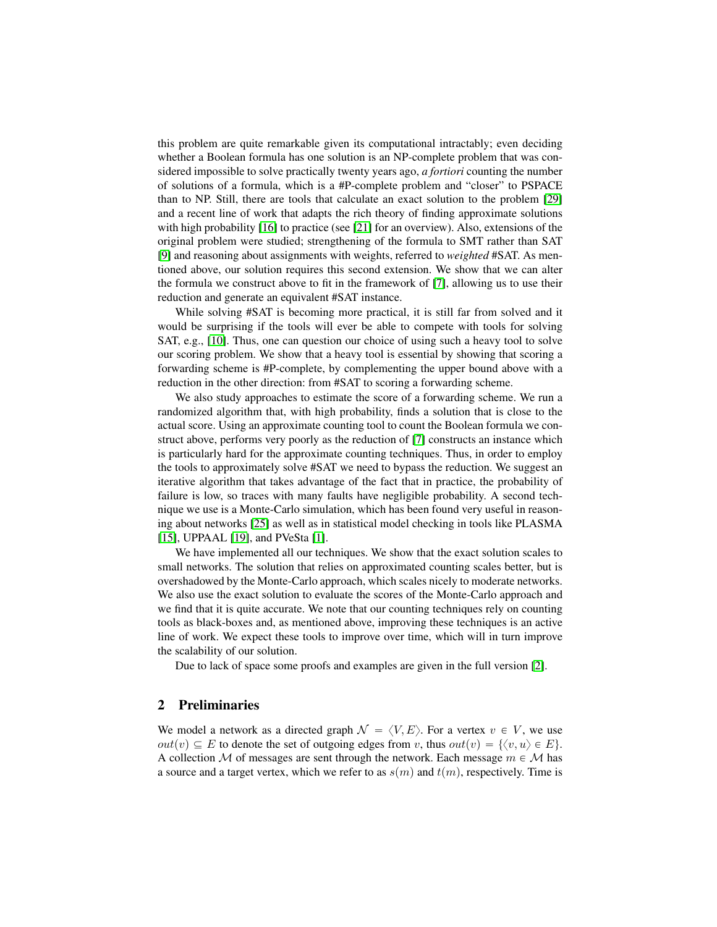this problem are quite remarkable given its computational intractably; even deciding whether a Boolean formula has one solution is an NP-complete problem that was considered impossible to solve practically twenty years ago, *a fortiori* counting the number of solutions of a formula, which is a #P-complete problem and "closer" to PSPACE than to NP. Still, there are tools that calculate an exact solution to the problem [\[29\]](#page-16-9) and a recent line of work that adapts the rich theory of finding approximate solutions with high probability  $[16]$  to practice (see  $[21]$  for an overview). Also, extensions of the original problem were studied; strengthening of the formula to SMT rather than SAT [\[9\]](#page-15-9) and reasoning about assignments with weights, referred to *weighted* #SAT. As mentioned above, our solution requires this second extension. We show that we can alter the formula we construct above to fit in the framework of [\[7\]](#page-15-10), allowing us to use their reduction and generate an equivalent #SAT instance.

While solving #SAT is becoming more practical, it is still far from solved and it would be surprising if the tools will ever be able to compete with tools for solving SAT, e.g., [\[10\]](#page-15-11). Thus, one can question our choice of using such a heavy tool to solve our scoring problem. We show that a heavy tool is essential by showing that scoring a forwarding scheme is #P-complete, by complementing the upper bound above with a reduction in the other direction: from #SAT to scoring a forwarding scheme.

We also study approaches to estimate the score of a forwarding scheme. We run a randomized algorithm that, with high probability, finds a solution that is close to the actual score. Using an approximate counting tool to count the Boolean formula we construct above, performs very poorly as the reduction of [\[7\]](#page-15-10) constructs an instance which is particularly hard for the approximate counting techniques. Thus, in order to employ the tools to approximately solve #SAT we need to bypass the reduction. We suggest an iterative algorithm that takes advantage of the fact that in practice, the probability of failure is low, so traces with many faults have negligible probability. A second technique we use is a Monte-Carlo simulation, which has been found very useful in reasoning about networks [\[25\]](#page-16-11) as well as in statistical model checking in tools like PLASMA [\[15\]](#page-15-12), UPPAAL [\[19\]](#page-16-12), and PVeSta [\[1\]](#page-15-13).

We have implemented all our techniques. We show that the exact solution scales to small networks. The solution that relies on approximated counting scales better, but is overshadowed by the Monte-Carlo approach, which scales nicely to moderate networks. We also use the exact solution to evaluate the scores of the Monte-Carlo approach and we find that it is quite accurate. We note that our counting techniques rely on counting tools as black-boxes and, as mentioned above, improving these techniques is an active line of work. We expect these tools to improve over time, which will in turn improve the scalability of our solution.

Due to lack of space some proofs and examples are given in the full version [\[2\]](#page-15-14).

#### 2 Preliminaries

We model a network as a directed graph  $\mathcal{N} = \langle V, E \rangle$ . For a vertex  $v \in V$ , we use  $out(v) \subseteq E$  to denote the set of outgoing edges from v, thus  $out(v) = \{ \langle v, u \rangle \in E \}.$ A collection M of messages are sent through the network. Each message  $m \in \mathcal{M}$  has a source and a target vertex, which we refer to as  $s(m)$  and  $t(m)$ , respectively. Time is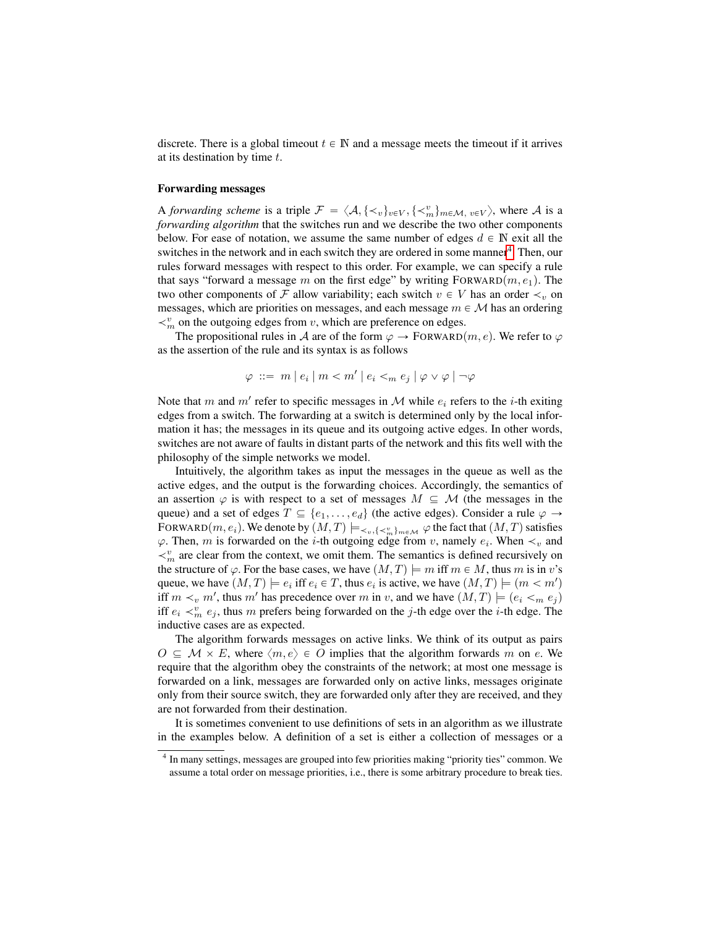discrete. There is a global timeout  $t \in \mathbb{N}$  and a message meets the timeout if it arrives at its destination by time t.

#### Forwarding messages

A *forwarding scheme* is a triple  $\mathcal{F} = \langle A, \{\langle v_v\rangle_{v \in V}, \{\langle v_w\rangle_{m \in \mathcal{M}, v \in V}\rangle\}$ , where A is a *forwarding algorithm* that the switches run and we describe the two other components below. For ease of notation, we assume the same number of edges  $d \in \mathbb{N}$  exit all the switches in the network and in each switch they are ordered in some manner<sup>[4](#page-4-0)</sup>. Then, our rules forward messages with respect to this order. For example, we can specify a rule that says "forward a message m on the first edge" by writing FORWARD $(m, e_1)$ . The two other components of F allow variability; each switch  $v \in V$  has an order  $\prec_v$  on messages, which are priorities on messages, and each message  $m \in \mathcal{M}$  has an ordering  $\prec_m^v$  on the outgoing edges from v, which are preference on edges.

The propositional rules in A are of the form  $\varphi \to \text{FORWARD}(m, e)$ . We refer to  $\varphi$ as the assertion of the rule and its syntax is as follows

$$
\varphi \ ::= \ m \mid e_i \mid m < m' \mid e_i <_m e_j \mid \varphi \lor \varphi \mid \neg \varphi
$$

Note that m and m' refer to specific messages in M while  $e_i$  refers to the *i*-th exiting edges from a switch. The forwarding at a switch is determined only by the local information it has; the messages in its queue and its outgoing active edges. In other words, switches are not aware of faults in distant parts of the network and this fits well with the philosophy of the simple networks we model.

Intuitively, the algorithm takes as input the messages in the queue as well as the active edges, and the output is the forwarding choices. Accordingly, the semantics of an assertion  $\varphi$  is with respect to a set of messages  $M \subseteq \mathcal{M}$  (the messages in the queue) and a set of edges  $T \subseteq \{e_1, \ldots, e_d\}$  (the active edges). Consider a rule  $\varphi \rightarrow$ FORWARD $(m, e_i)$ . We denote by  $(M, T) \models_{\leq v, \{\leq v_m\}_{m \in \mathcal{M}}} \varphi$  the fact that  $(M, T)$  satisfies  $\varphi$ . Then, m is forwarded on the *i*-th outgoing edge from v, namely  $e_i$ . When  $\prec_v$  and  $\prec_m^v$  are clear from the context, we omit them. The semantics is defined recursively on the structure of  $\varphi$ . For the base cases, we have  $(M, T) \models m$  iff  $m \in M$ , thus m is in v's queue, we have  $(M, T) \models e_i$  iff  $e_i \in T$ , thus  $e_i$  is active, we have  $(M, T) \models (m < m')$ iff  $m \lt v$  m', thus m' has precedence over m in v, and we have  $(M, T) \models (e_i \lt m e_j)$ iff  $e_i \prec_m^v e_j$ , thus m prefers being forwarded on the j-th edge over the *i*-th edge. The inductive cases are as expected.

The algorithm forwards messages on active links. We think of its output as pairs  $O \subseteq \mathcal{M} \times E$ , where  $\langle m, e \rangle \in O$  implies that the algorithm forwards m on e. We require that the algorithm obey the constraints of the network; at most one message is forwarded on a link, messages are forwarded only on active links, messages originate only from their source switch, they are forwarded only after they are received, and they are not forwarded from their destination.

It is sometimes convenient to use definitions of sets in an algorithm as we illustrate in the examples below. A definition of a set is either a collection of messages or a

<span id="page-4-0"></span><sup>&</sup>lt;sup>4</sup> In many settings, messages are grouped into few priorities making "priority ties" common. We assume a total order on message priorities, i.e., there is some arbitrary procedure to break ties.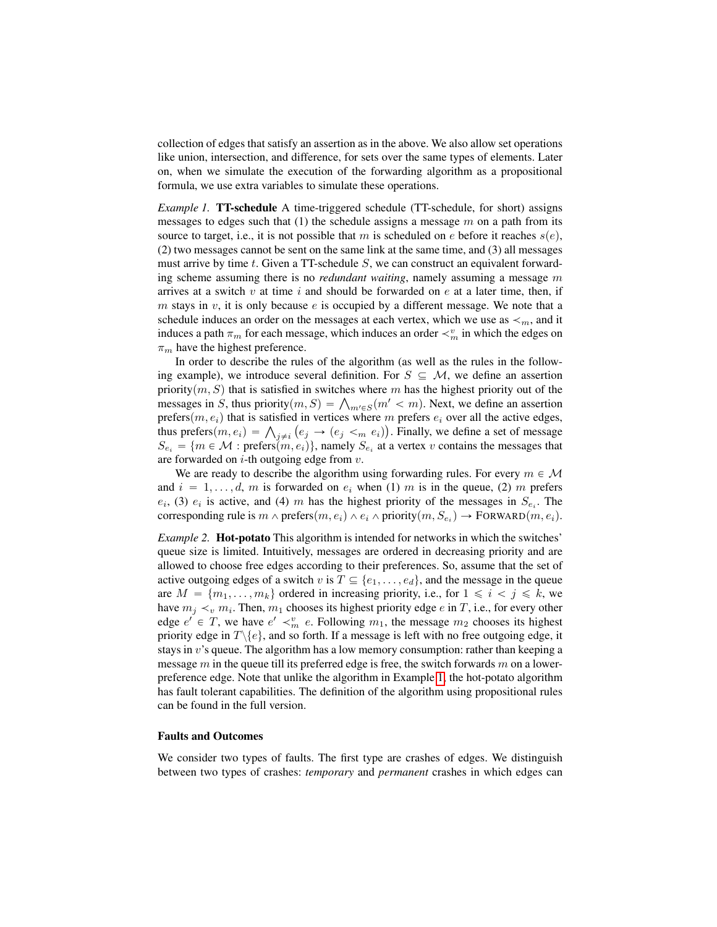collection of edges that satisfy an assertion as in the above. We also allow set operations like union, intersection, and difference, for sets over the same types of elements. Later on, when we simulate the execution of the forwarding algorithm as a propositional formula, we use extra variables to simulate these operations.

<span id="page-5-0"></span>*Example 1.* TT-schedule A time-triggered schedule (TT-schedule, for short) assigns messages to edges such that (1) the schedule assigns a message  $m$  on a path from its source to target, i.e., it is not possible that m is scheduled on e before it reaches  $s(e)$ , (2) two messages cannot be sent on the same link at the same time, and (3) all messages must arrive by time  $t$ . Given a TT-schedule  $S$ , we can construct an equivalent forwarding scheme assuming there is no *redundant waiting*, namely assuming a message m arrives at a switch v at time i and should be forwarded on  $e$  at a later time, then, if m stays in  $v$ , it is only because  $e$  is occupied by a different message. We note that a schedule induces an order on the messages at each vertex, which we use as  $\prec_m$ , and it induces a path  $\pi_m$  for each message, which induces an order  $\prec_m^v$  in which the edges on  $\pi_m$  have the highest preference.

In order to describe the rules of the algorithm (as well as the rules in the following example), we introduce several definition. For  $S \subseteq M$ , we define an assertion priority $(m, S)$  that is satisfied in switches where m has the highest priority out of the priority  $(m, S)$  that is satisfied in switches where m has the highest priority out of the messages in S, thus priority  $(m, S) = \bigwedge_{m' \in S} (m' < m)$ . Next, we define an assertion prefers  $(m, e_i)$  that is satisfied in vertices where m prefers  $e_i$  over all the active edges, prefers $(m, e_i)$  that is satisfied in vertices where m prefers  $e_i$  over all the active edges,<br>thus prefers $(m, e_i) = \bigwedge_{j \neq i} (e_j \rightarrow (e_j <_m e_i))$ . Finally, we define a set of message  $S_{e_i} = \{m \in \mathcal{M} : \text{prefix}(m, e_i)\}\$ , namely  $S_{e_i}$  at a vertex v contains the messages that are forwarded on  $i$ -th outgoing edge from  $v$ .

We are ready to describe the algorithm using forwarding rules. For every  $m \in \mathcal{M}$ and  $i = 1, \ldots, d, m$  is forwarded on  $e_i$  when (1) m is in the queue, (2) m prefers  $e_i$ , (3)  $e_i$  is active, and (4) m has the highest priority of the messages in  $S_{e_i}$ . The corresponding rule is  $m \wedge \text{prefix}(m, e_i) \wedge e_i \wedge \text{priority}(m, S_{e_i}) \rightarrow \text{FORWARD}(m, e_i)$ .

<span id="page-5-1"></span>*Example 2.* Hot-potato This algorithm is intended for networks in which the switches' queue size is limited. Intuitively, messages are ordered in decreasing priority and are allowed to choose free edges according to their preferences. So, assume that the set of active outgoing edges of a switch v is  $T \subseteq \{e_1, \ldots, e_d\}$ , and the message in the queue are  $M = \{m_1, \ldots, m_k\}$  ordered in increasing priority, i.e., for  $1 \leq i \leq j \leq k$ , we have  $m_j \prec_v m_i$ . Then,  $m_1$  chooses its highest priority edge e in T, i.e., for every other edge  $e' \in T$ , we have  $e' <_{m}^{v} e$ . Following  $m_1$ , the message  $m_2$  chooses its highest priority edge in  $T \setminus \{e\}$ , and so forth. If a message is left with no free outgoing edge, it stays in  $v$ 's queue. The algorithm has a low memory consumption: rather than keeping a message m in the queue till its preferred edge is free, the switch forwards m on a lowerpreference edge. Note that unlike the algorithm in Example [1,](#page-5-0) the hot-potato algorithm has fault tolerant capabilities. The definition of the algorithm using propositional rules can be found in the full version.

#### Faults and Outcomes

We consider two types of faults. The first type are crashes of edges. We distinguish between two types of crashes: *temporary* and *permanent* crashes in which edges can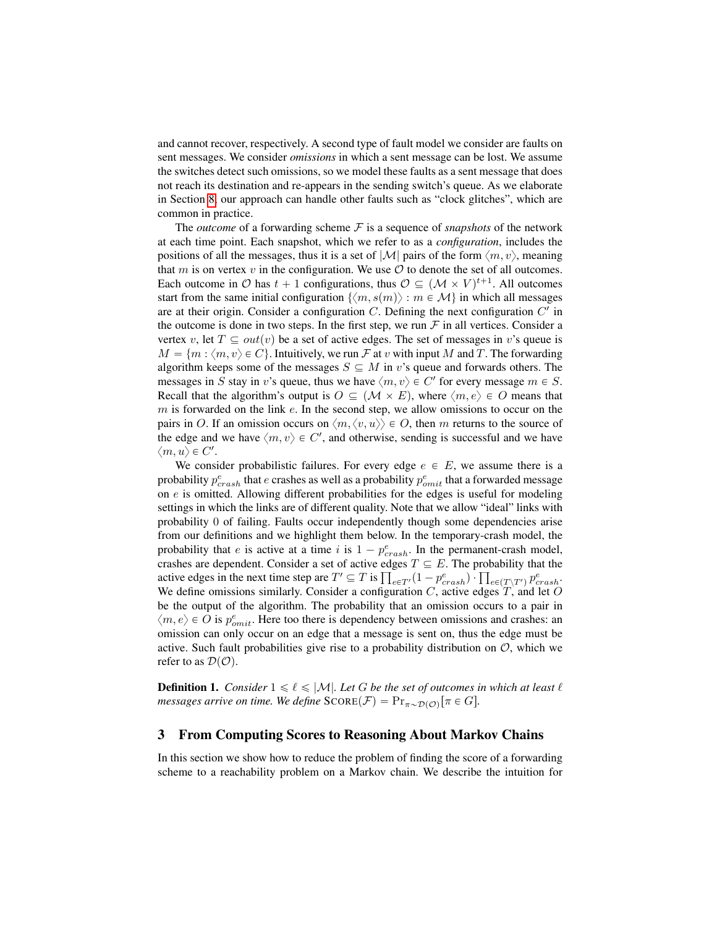and cannot recover, respectively. A second type of fault model we consider are faults on sent messages. We consider *omissions* in which a sent message can be lost. We assume the switches detect such omissions, so we model these faults as a sent message that does not reach its destination and re-appears in the sending switch's queue. As we elaborate in Section [8,](#page-14-0) our approach can handle other faults such as "clock glitches", which are common in practice.

The *outcome* of a forwarding scheme  $F$  is a sequence of *snapshots* of the network at each time point. Each snapshot, which we refer to as a *configuration*, includes the positions of all the messages, thus it is a set of  $|M|$  pairs of the form  $\langle m, v \rangle$ , meaning that m is on vertex v in the configuration. We use  $\mathcal O$  to denote the set of all outcomes. Each outcome in  $\mathcal O$  has  $t + 1$  configurations, thus  $\mathcal O \subseteq (\mathcal M \times V)^{t+1}$ . All outcomes start from the same initial configuration  $\{\langle m, s(m)\rangle : m \in \mathcal{M}\}\$ in which all messages are at their origin. Consider a configuration  $C$ . Defining the next configuration  $C'$  in the outcome is done in two steps. In the first step, we run  $\mathcal F$  in all vertices. Consider a vertex v, let  $T \subseteq out(v)$  be a set of active edges. The set of messages in v's queue is  $M = \{m : \langle m, v \rangle \in C\}$ . Intuitively, we run F at v with input M and T. The forwarding algorithm keeps some of the messages  $S \subseteq M$  in v's queue and forwards others. The messages in S stay in v's queue, thus we have  $\langle m, v \rangle \in C'$  for every message  $m \in S$ . Recall that the algorithm's output is  $O \subseteq (\mathcal{M} \times E)$ , where  $\langle m, e \rangle \in O$  means that  $m$  is forwarded on the link  $e$ . In the second step, we allow omissions to occur on the pairs in O. If an omission occurs on  $\langle m, \langle v, u \rangle \rangle \in O$ , then m returns to the source of the edge and we have  $\langle m, v \rangle \in C'$ , and otherwise, sending is successful and we have  $\langle m, u \rangle \in C'.$ 

We consider probabilistic failures. For every edge  $e \in E$ , we assume there is a probability  $p_{crash}^e$  that  $e$  crashes as well as a probability  $p_{omit}^e$  that a forwarded message on  $e$  is omitted. Allowing different probabilities for the edges is useful for modeling settings in which the links are of different quality. Note that we allow "ideal" links with probability 0 of failing. Faults occur independently though some dependencies arise from our definitions and we highlight them below. In the temporary-crash model, the probability that *e* is active at a time *i* is  $1 - p_{crash}^e$ . In the permanent-crash model, crashes are dependent. Consider a set of active edges  $T \subseteq E$ . The probability that the crashes are dependent. Consider a set of active edges  $T \subseteq E$ . The probability that the active edges in the next time step are  $T' \subseteq T$  is  $\prod_{e \in T'} (1 - p_{crash}^e) \cdot \prod_{e \in (T \setminus T')} p_{crash}^e$ . We define omissions similarly. Consider a configuration  $C$ , active edges  $T$ , and let  $O$ be the output of the algorithm. The probability that an omission occurs to a pair in  $\langle m, e \rangle \in O$  is  $p_{omit}^e$ . Here too there is dependency between omissions and crashes: an omission can only occur on an edge that a message is sent on, thus the edge must be active. Such fault probabilities give rise to a probability distribution on  $\mathcal{O}$ , which we refer to as  $\mathcal{D}(\mathcal{O})$ .

**Definition 1.** *Consider*  $1 \leq \ell \leq |\mathcal{M}|$ *. Let* G *be the set of outcomes in which at least*  $\ell$ *messages arrive on time. We define*  $\text{SCORE}(\mathcal{F}) = \Pr_{\pi \sim \mathcal{D}(\mathcal{O})}[\pi \in G].$ 

#### 3 From Computing Scores to Reasoning About Markov Chains

In this section we show how to reduce the problem of finding the score of a forwarding scheme to a reachability problem on a Markov chain. We describe the intuition for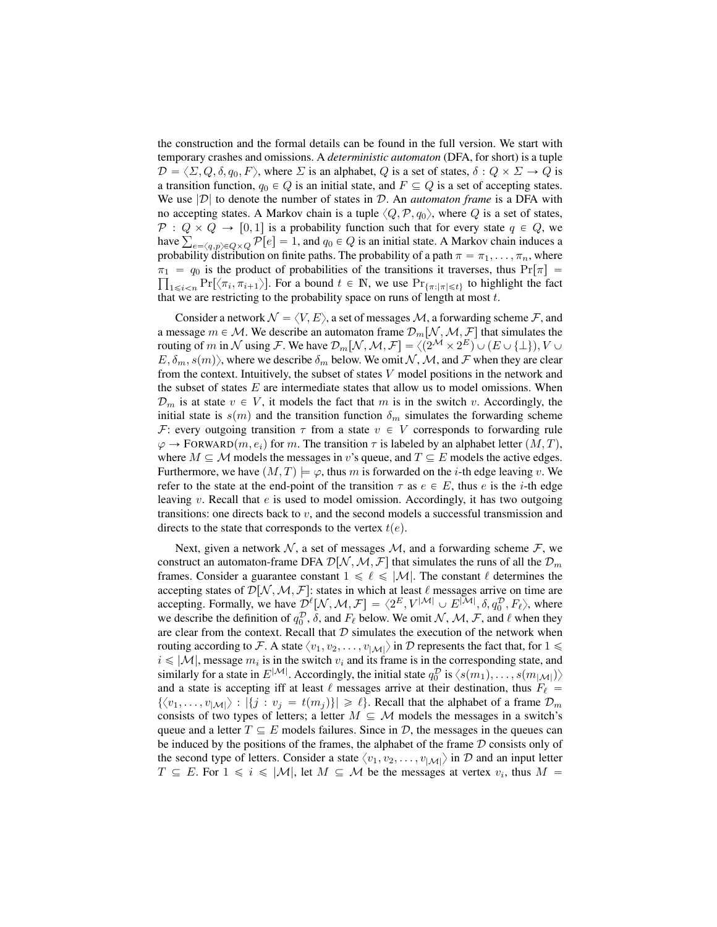the construction and the formal details can be found in the full version. We start with temporary crashes and omissions. A *deterministic automaton* (DFA, for short) is a tuple  $\mathcal{D} = \langle \Sigma, Q, \delta, q_0, F \rangle$ , where  $\Sigma$  is an alphabet, Q is a set of states,  $\delta : Q \times \Sigma \to Q$  is a transition function,  $q_0 \in Q$  is an initial state, and  $F \subseteq Q$  is a set of accepting states. We use |D| to denote the number of states in D. An *automaton frame* is a DFA with no accepting states. A Markov chain is a tuple  $\langle Q, P, q_0 \rangle$ , where Q is a set of states,  $P: Q \times Q \rightarrow [0, 1]$  is a probability function such that for every state  $q \in Q$ , we  $\mathcal{P}: Q \times Q \to [0,1]$  is a probability function such that for every state  $q \in Q$ , we have  $\sum_{e=\langle q,p\rangle \in Q \times Q} \mathcal{P}[e] = 1$ , and  $q_0 \in Q$  is an initial state. A Markov chain induces a probability distribution on finite paths. The probability of a path  $\pi = \pi_1, \ldots, \pi_n$ , where  $\pi_1 = q_0$  is the product of probabilities of the transitions it traverses, thus  $Pr[\pi] =$  $_{1\leq i\leq n}$  Pr[ $\langle \pi_i, \pi_{i+1} \rangle$ ]. For a bound  $t \in \mathbb{N}$ , we use Pr $_{\{\pi: |\pi| \leq t\}}$  to highlight the fact that we are restricting to the probability space on runs of length at most  $t$ .

Consider a network  $\mathcal{N} = \langle V, E \rangle$ , a set of messages  $\mathcal{M}$ , a forwarding scheme  $\mathcal{F}$ , and a message  $m \in \mathcal{M}$ . We describe an automaton frame  $\mathcal{D}_m[\mathcal{N}, \mathcal{M}, \mathcal{F}]$  that simulates the routing of m in N using F. We have  $\mathcal{D}_m[\mathcal{N}, \mathcal{M}, \mathcal{F}] = \langle (2^{\mathcal{M}} \times 2^E) \cup (E \cup \{\perp\}), V \cup$  $E, \delta_m, s(m)$ , where we describe  $\delta_m$  below. We omit N, M, and F when they are clear from the context. Intuitively, the subset of states  $V$  model positions in the network and the subset of states  $E$  are intermediate states that allow us to model omissions. When  $\mathcal{D}_m$  is at state  $v \in V$ , it models the fact that m is in the switch v. Accordingly, the initial state is  $s(m)$  and the transition function  $\delta_m$  simulates the forwarding scheme F: every outgoing transition  $\tau$  from a state  $v \in V$  corresponds to forwarding rule  $\varphi \to \text{FORWARD}(m, e_i)$  for m. The transition  $\tau$  is labeled by an alphabet letter  $(M, T)$ , where  $M \subseteq \mathcal{M}$  models the messages in v's queue, and  $T \subseteq E$  models the active edges. Furthermore, we have  $(M, T) \models \varphi$ , thus m is forwarded on the *i*-th edge leaving v. We refer to the state at the end-point of the transition  $\tau$  as  $e \in E$ , thus e is the *i*-th edge leaving v. Recall that  $e$  is used to model omission. Accordingly, it has two outgoing transitions: one directs back to  $v$ , and the second models a successful transmission and directs to the state that corresponds to the vertex  $t(e)$ .

Next, given a network  $N$ , a set of messages  $M$ , and a forwarding scheme  $\mathcal{F}$ , we construct an automaton-frame DFA  $\mathcal{D}[\mathcal{N}, \mathcal{M}, \mathcal{F}]$  that simulates the runs of all the  $\mathcal{D}_m$ frames. Consider a guarantee constant  $1 \le \ell \le |\mathcal{M}|$ . The constant  $\ell$  determines the accepting states of  $\mathcal{D}[\mathcal{N}, \mathcal{M}, \mathcal{F}]$ : states in which at least  $\ell$  messages arrive on time are accepting. Formally, we have  $\mathcal{D}^{\ell}[\mathcal{N}, \mathcal{M}, \mathcal{F}] = \langle 2^E, V^{|\mathcal{M}|} \cup E^{|\mathcal{M}|}, \delta, q_0^{\mathcal{D}}, F_{\ell} \rangle$ , where we describe the definition of  $q_0^D$ ,  $\delta$ , and  $F_\ell$  below. We omit  $\mathcal{N}, \mathcal{M}, \mathcal{F}$ , and  $\ell$  when they are clear from the context. Recall that  $D$  simulates the execution of the network when routing according to F. A state  $\langle v_1, v_2, \ldots, v_{|\mathcal{M}|} \rangle$  in D represents the fact that, for  $1 \leq$  $i \leq |\mathcal{M}|$ , message  $m_i$  is in the switch  $v_i$  and its frame is in the corresponding state, and similarly for a state in  $E^{|\mathcal{M}|}$ . Accordingly, the initial state  $q_0^{\mathcal{D}}$  is  $\langle s(m_1), \ldots, s(m_{|\mathcal{M}|}) \rangle$ and a state is accepting iff at least  $\ell$  messages arrive at their destination, thus  $F_{\ell}$  =  $\{\langle v_1, \ldots, v_{|\mathcal{M}|}\rangle : |\{j : v_j = t(m_j)\}| \geq \ell\}.$  Recall that the alphabet of a frame  $\mathcal{D}_m$ consists of two types of letters; a letter  $M \subseteq \mathcal{M}$  models the messages in a switch's queue and a letter  $T \subseteq E$  models failures. Since in D, the messages in the queues can be induced by the positions of the frames, the alphabet of the frame  $D$  consists only of the second type of letters. Consider a state  $\langle v_1, v_2, \dots, v_{|\mathcal{M}|} \rangle$  in D and an input letter  $T \subseteq E$ . For  $1 \leq i \leq |\mathcal{M}|$ , let  $M \subseteq \mathcal{M}$  be the messages at vertex  $v_i$ , thus  $M =$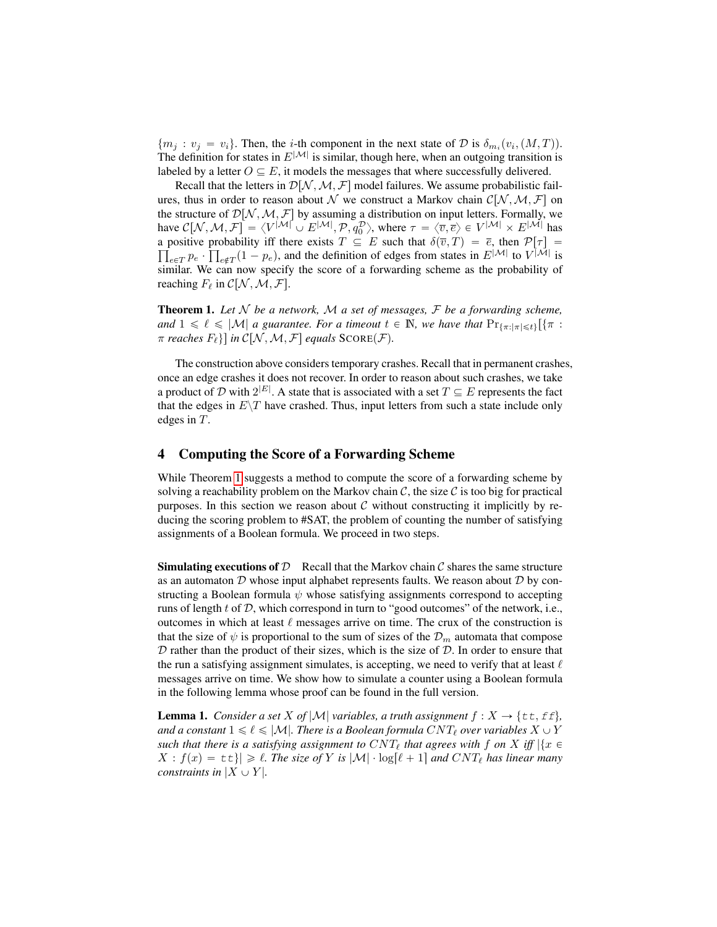$\{m_j : v_j = v_i\}$ . Then, the *i*-th component in the next state of D is  $\delta_{m_i}(v_i, (M, T))$ . The definition for states in  $E^{|\mathcal{M}|}$  is similar, though here, when an outgoing transition is labeled by a letter  $O \subseteq E$ , it models the messages that where successfully delivered.

Recall that the letters in  $\mathcal{D}[\mathcal{N}, \mathcal{M}, \mathcal{F}]$  model failures. We assume probabilistic failures, thus in order to reason about N we construct a Markov chain  $C[N, M, F]$  on the structure of  $\mathcal{D}[\mathcal{N}, \mathcal{M}, \mathcal{F}]$  by assuming a distribution on input letters. Formally, we have  $C[\mathcal{N}, \mathcal{M}, \mathcal{F}] = \langle V^{|\mathcal{M}|} \cup E^{|\mathcal{M}|}, \mathcal{P}, q_0^{\mathcal{D}} \rangle$ , where  $\tau = \langle \overline{v}, \overline{e} \rangle \in V^{|\mathcal{M}|} \times E^{|\mathcal{M}|}$  has a positive probability iff there exists  $T \subseteq E$  such that  $\delta(\overline{v}, T) = \overline{e}$ , then  $\mathcal{P}[\tau] =$  $_{e \in T} p_e \cdot \prod_{e \notin T} (1 - p_e)$ , and the definition of edges from states in  $E^{|\mathcal{M}|}$  to  $V^{|\mathcal{M}|}$  is similar. We can now specify the score of a forwarding scheme as the probability of reaching  $F_\ell$  in  $\mathcal{C}[\mathcal{N}, \mathcal{M}, \mathcal{F}].$ 

<span id="page-8-0"></span>Theorem 1. *Let* N *be a network,* M *a set of messages,* F *be a forwarding scheme, and*  $1 \le \ell \le |\mathcal{M}|$  *a guarantee. For a timeout*  $t \in \mathbb{N}$ , we have that  $Pr_{\{\pi: |\pi| \le t\}}[\{\pi :$  $\pi$  *reaches*  $F_{\ell}$ } *in*  $\mathcal{C}[\mathcal{N}, \mathcal{M}, \mathcal{F}]$  *equals*  $SCORE(\mathcal{F})$ *.* 

The construction above considers temporary crashes. Recall that in permanent crashes, once an edge crashes it does not recover. In order to reason about such crashes, we take a product of D with  $2^{|E|}$ . A state that is associated with a set  $T \subseteq E$  represents the fact that the edges in  $E\setminus T$  have crashed. Thus, input letters from such a state include only edges in T.

#### <span id="page-8-2"></span>4 Computing the Score of a Forwarding Scheme

While Theorem [1](#page-8-0) suggests a method to compute the score of a forwarding scheme by solving a reachability problem on the Markov chain  $\mathcal C$ , the size  $\mathcal C$  is too big for practical purposes. In this section we reason about  $C$  without constructing it implicitly by reducing the scoring problem to #SAT, the problem of counting the number of satisfying assignments of a Boolean formula. We proceed in two steps.

**Simulating executions of**  $D$  Recall that the Markov chain  $C$  shares the same structure as an automaton  $D$  whose input alphabet represents faults. We reason about  $D$  by constructing a Boolean formula  $\psi$  whose satisfying assignments correspond to accepting runs of length t of  $D$ , which correspond in turn to "good outcomes" of the network, i.e., outcomes in which at least  $\ell$  messages arrive on time. The crux of the construction is that the size of  $\psi$  is proportional to the sum of sizes of the  $\mathcal{D}_m$  automata that compose  $D$  rather than the product of their sizes, which is the size of  $D$ . In order to ensure that the run a satisfying assignment simulates, is accepting, we need to verify that at least  $\ell$ messages arrive on time. We show how to simulate a counter using a Boolean formula in the following lemma whose proof can be found in the full version.

<span id="page-8-1"></span>**Lemma 1.** *Consider a set* X of  $|M|$  *variables, a truth assignment*  $f: X \rightarrow \{ \text{tt}, \text{ff} \}$ , *and a constant*  $1 \leq \ell \leq |\mathcal{M}|$ *. There is a Boolean formula*  $CNT_\ell$  *over variables*  $X \cup Y$ *such that there is a satisfying assignment to*  $CNT_\ell$  *that agrees with* f *on* X *iff*  $|\{x \in \mathbb{R}^d : |f(x)| \leq C\}$  $X : f(x) = \pm \frac{1}{2} \ge \ell$ . The size of Y is  $|M| \cdot \log[\ell + 1]$  and  $CNT_{\ell}$  has linear many *constraints in*  $|X \cup Y|$ *.*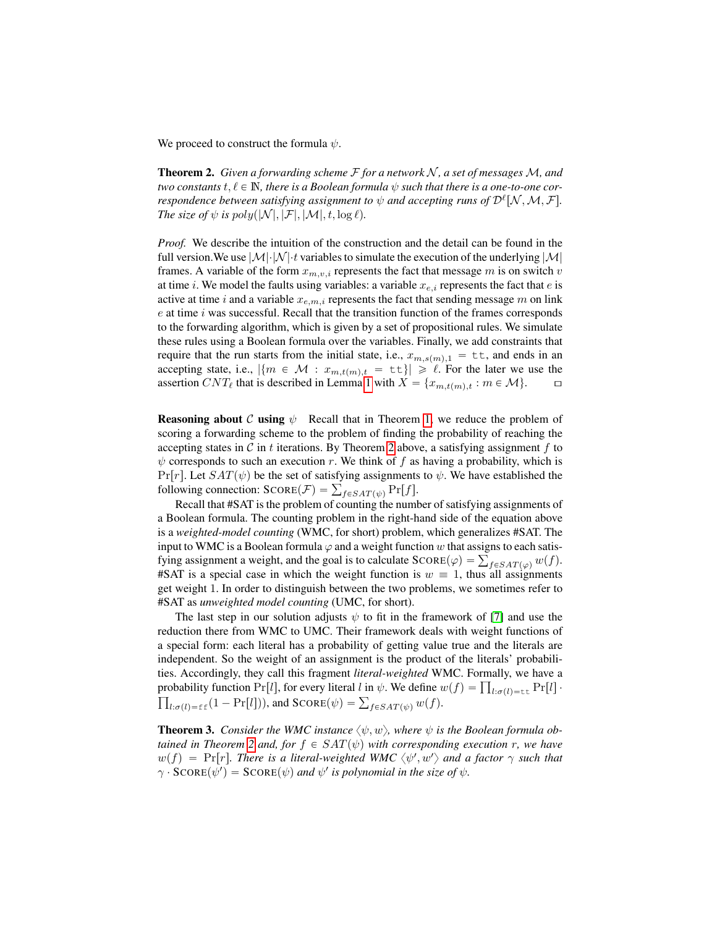<span id="page-9-0"></span>We proceed to construct the formula  $\psi$ .

Theorem 2. *Given a forwarding scheme* F *for a network* N *, a set of messages* M*, and two constants*  $t, \ell \in \mathbb{N}$ , there is a Boolean formula  $\psi$  such that there is a one-to-one cor*respondence between satisfying assignment to*  $\psi$  *and accepting runs of*  $\mathcal{D}^{\ell}[\mathcal{N},\mathcal{M},\mathcal{F}].$ *The size of*  $\psi$  *is poly* $(|\mathcal{N}|, |\mathcal{F}|, |\mathcal{M}|, t, \log \ell)$ *.* 

*Proof.* We describe the intuition of the construction and the detail can be found in the full version. We use  $|\mathcal{M}| \cdot |\mathcal{N}| \cdot t$  variables to simulate the execution of the underlying  $|\mathcal{M}|$ frames. A variable of the form  $x_{m,v,i}$  represents the fact that message m is on switch v at time i. We model the faults using variables: a variable  $x_{e,i}$  represents the fact that e is active at time i and a variable  $x_{e,m,i}$  represents the fact that sending message m on link  $e$  at time  $i$  was successful. Recall that the transition function of the frames corresponds to the forwarding algorithm, which is given by a set of propositional rules. We simulate these rules using a Boolean formula over the variables. Finally, we add constraints that require that the run starts from the initial state, i.e.,  $x_{m,s(m),1} = \pm \pm$ , and ends in an accepting state, i.e.,  $|\{m \in \mathcal{M} : x_{m,t(m),t} = \pm \}|\geq \ell$ . For the later we use the assertion  $CNT_\ell$  that is described in Lemma [1](#page-8-1) with  $X = \{x_{m,t(m),t} : m \in \mathcal{M}\}\.$ 

**Reasoning about C using**  $\psi$  Recall that in Theorem [1,](#page-8-0) we reduce the problem of scoring a forwarding scheme to the problem of finding the probability of reaching the accepting states in C in t iterations. By Theorem [2](#page-9-0) above, a satisfying assignment f to  $\psi$  corresponds to such an execution r. We think of f as having a probability, which is  $Pr[r]$ . Let  $SAT(\psi)$  be the set of satisfying assignments to  $\psi$ . We have established the Pr[*r*]. Let  $SAT(\psi)$  be the set of satisfying assignments<br>following connection:  $Score(\mathcal{F}) = \sum_{f \in SAT(\psi)} Pr[f].$ 

Recall that #SAT is the problem of counting the number of satisfying assignments of a Boolean formula. The counting problem in the right-hand side of the equation above is a *weighted-model counting* (WMC, for short) problem, which generalizes #SAT. The input to WMC is a Boolean formula  $\varphi$  and a weight function w that assigns to each satisinput to WMC is a Boolean formula  $\varphi$  and a weight function  $w$  that assigns to each satis-<br>fying assignment a weight, and the goal is to calculate  $\text{Score}(\varphi) = \sum_{f \in SAT(\varphi)} w(f)$ . #SAT is a special case in which the weight function is  $w \equiv 1$ , thus all assignments get weight 1. In order to distinguish between the two problems, we sometimes refer to #SAT as *unweighted model counting* (UMC, for short).

The last step in our solution adjusts  $\psi$  to fit in the framework of [\[7\]](#page-15-10) and use the reduction there from WMC to UMC. Their framework deals with weight functions of a special form: each literal has a probability of getting value true and the literals are independent. So the weight of an assignment is the product of the literals' probabilities. Accordingly, they call this fragment *literal-weighted* WMC. Formally, we have a ties. Accordingly, they call this fragment *literal-weighted* WMC. Formally, we have a probability function Pr[*l*], for every literal *l* in  $\psi$ . We define  $w(f) = \prod_{l:\sigma(l)=\text{tt}} Pr[l]$ . boability function  $\Pr[\iota]$ , for every fiteral  $\iota$  in  $\psi$ , we define  $\iota_{l:\sigma(l)=\text{ff}}(1-\Pr[l]),$  and  $\text{SCORE}(\psi) = \sum_{f \in SAT(\psi)} w(f)$ .

**Theorem 3.** *Consider the WMC instance*  $\langle \psi, w \rangle$ *, where*  $\psi$  *is the Boolean formula obtained in Theorem* [2](#page-9-0) *and, for*  $f \in SAT(\psi)$  *with corresponding execution* r*, we have*  $w(f)$  = Pr[r]. There is a literal-weighted WMC  $\langle \psi', w' \rangle$  and a factor  $\gamma$  such that  $\gamma \cdot \text{SCORE}(\psi') = \text{SCORE}(\psi)$  and  $\psi'$  is polynomial in the size of  $\psi$ .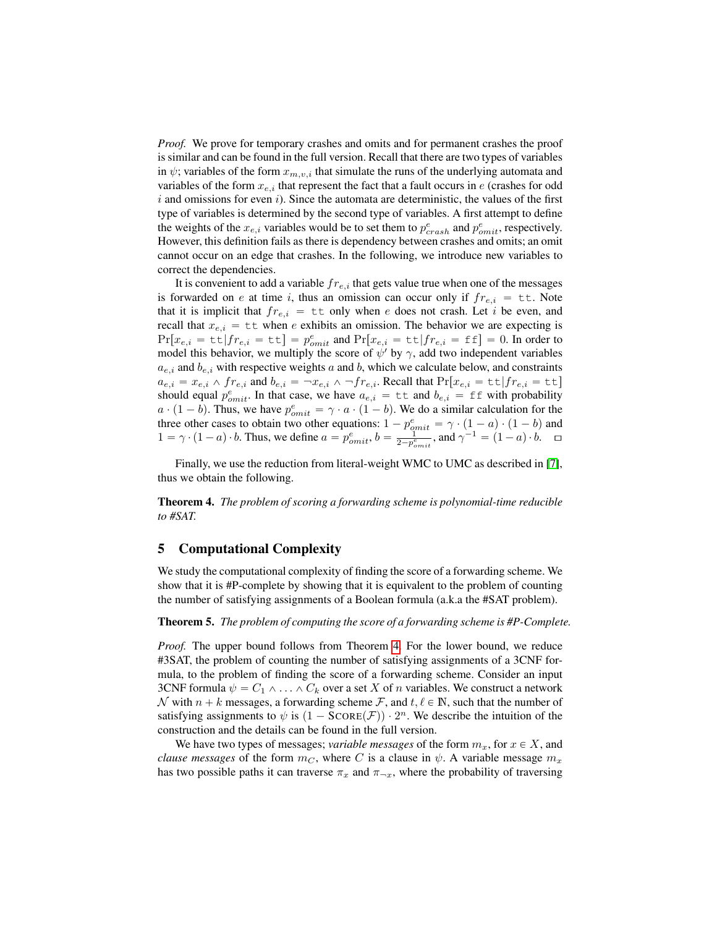*Proof.* We prove for temporary crashes and omits and for permanent crashes the proof is similar and can be found in the full version. Recall that there are two types of variables in  $\psi$ ; variables of the form  $x_{m,v,i}$  that simulate the runs of the underlying automata and variables of the form  $x_{e,i}$  that represent the fact that a fault occurs in e (crashes for odd  $i$  and omissions for even  $i$ ). Since the automata are deterministic, the values of the first type of variables is determined by the second type of variables. A first attempt to define the weights of the  $x_{e,i}$  variables would be to set them to  $p_{crash}^e$  and  $p_{omit}^e$ , respectively. However, this definition fails as there is dependency between crashes and omits; an omit cannot occur on an edge that crashes. In the following, we introduce new variables to correct the dependencies.

It is convenient to add a variable  $fr_{e,i}$  that gets value true when one of the messages is forwarded on e at time i, thus an omission can occur only if  $fr_{e,i} = \text{tt}$ . Note that it is implicit that  $fr_{e,i} = \pm \pm$  only when e does not crash. Let i be even, and recall that  $x_{e,i} = \pm \pm$  when e exhibits an omission. The behavior we are expecting is  $Pr[x_{e,i} = \text{tt}|fr_{e,i} = \text{tt}] = p_{omit}^e$  and  $Pr[x_{e,i} = \text{tt}|fr_{e,i} = \text{ff}] = 0$ . In order to model this behavior, we multiply the score of  $\psi'$  by  $\gamma$ , add two independent variables  $a_{e,i}$  and  $b_{e,i}$  with respective weights a and b, which we calculate below, and constraints  $a_{e,i} = x_{e,i} \wedge fr_{e,i}$  and  $b_{e,i} = -x_{e,i} \wedge \neg fr_{e,i}$ . Recall that  $Pr[x_{e,i} = \text{tt}|fr_{e,i} = \text{tt}]$ should equal  $p_{omit}^e$ . In that case, we have  $a_{e,i} = \text{tt}$  and  $b_{e,i} = \text{ft}$  with probability  $a \cdot (1 - b)$ . Thus, we have  $p_{omit}^e = \gamma \cdot a \cdot (1 - b)$ . We do a similar calculation for the three other cases to obtain two other equations:  $1 - p_{omit}^e = \gamma \cdot (1 - a) \cdot (1 - b)$  and  $1 = \gamma \cdot (1 - a) \cdot b$ . Thus, we define  $a = p_{omit}^e$ ,  $b = \frac{1}{2 - p_{omit}^e}$ , and  $\gamma^{-1} = (1 - a) \cdot b$ .  $\Box$ 

Finally, we use the reduction from literal-weight WMC to UMC as described in [\[7\]](#page-15-10), thus we obtain the following.

<span id="page-10-0"></span>Theorem 4. *The problem of scoring a forwarding scheme is polynomial-time reducible to #SAT.*

## 5 Computational Complexity

We study the computational complexity of finding the score of a forwarding scheme. We show that it is #P-complete by showing that it is equivalent to the problem of counting the number of satisfying assignments of a Boolean formula (a.k.a the #SAT problem).

Theorem 5. *The problem of computing the score of a forwarding scheme is #P-Complete.*

*Proof.* The upper bound follows from Theorem [4.](#page-10-0) For the lower bound, we reduce #3SAT, the problem of counting the number of satisfying assignments of a 3CNF formula, to the problem of finding the score of a forwarding scheme. Consider an input 3CNF formula  $\psi = C_1 \wedge \ldots \wedge C_k$  over a set X of n variables. We construct a network N with  $n + k$  messages, a forwarding scheme F, and  $t, \ell \in \mathbb{N}$ , such that the number of satisfying assignments to  $\psi$  is  $(1 - \text{SCORE}(\mathcal{F})) \cdot 2^n$ . We describe the intuition of the construction and the details can be found in the full version.

We have two types of messages; *variable messages* of the form  $m<sub>x</sub>$ , for  $x \in X$ , and *clause messages* of the form  $m<sub>C</sub>$ , where C is a clause in  $\psi$ . A variable message  $m<sub>x</sub>$ has two possible paths it can traverse  $\pi_x$  and  $\pi_{\neg x}$ , where the probability of traversing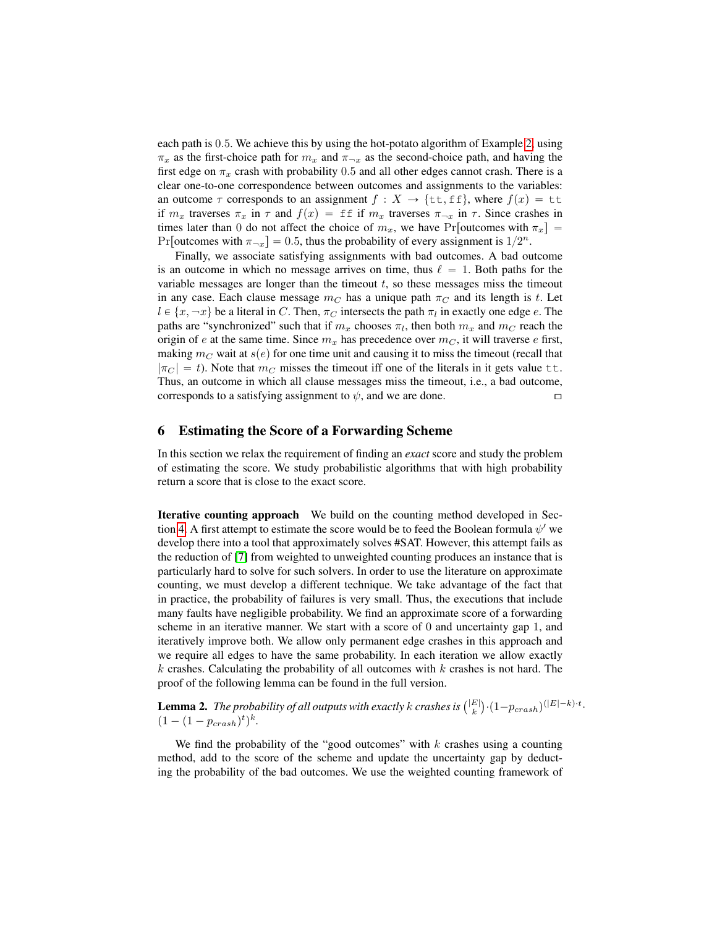each path is 0.5. We achieve this by using the hot-potato algorithm of Example [2,](#page-5-1) using  $\pi_x$  as the first-choice path for  $m_x$  and  $\pi_{\neg x}$  as the second-choice path, and having the first edge on  $\pi_x$  crash with probability 0.5 and all other edges cannot crash. There is a clear one-to-one correspondence between outcomes and assignments to the variables: an outcome  $\tau$  corresponds to an assignment  $f : X \to \{\text{tt}, \text{ff}\},$  where  $f(x) = \text{tt}$ if  $m_x$  traverses  $\pi_x$  in  $\tau$  and  $f(x) = \text{ff}$  if  $m_x$  traverses  $\pi_{\neg x}$  in  $\tau$ . Since crashes in times later than 0 do not affect the choice of  $m_x$ , we have Pr [outcomes with  $\pi_x$ ] = Pr[outcomes with  $\pi_{\neg x}$ ] = 0.5, thus the probability of every assignment is  $1/2^n$ .

Finally, we associate satisfying assignments with bad outcomes. A bad outcome is an outcome in which no message arrives on time, thus  $\ell = 1$ . Both paths for the variable messages are longer than the timeout  $t$ , so these messages miss the timeout in any case. Each clause message  $m<sub>C</sub>$  has a unique path  $\pi<sub>C</sub>$  and its length is t. Let  $l \in \{x, \neg x\}$  be a literal in C. Then,  $\pi_C$  intersects the path  $\pi_l$  in exactly one edge e. The paths are "synchronized" such that if  $m_x$  chooses  $\pi_l$ , then both  $m_x$  and  $m_y$  reach the origin of e at the same time. Since  $m_x$  has precedence over  $m_C$ , it will traverse e first, making  $m<sub>C</sub>$  wait at  $s(e)$  for one time unit and causing it to miss the timeout (recall that  $|\pi_C| = t$ ). Note that  $m_C$  misses the timeout iff one of the literals in it gets value tt. Thus, an outcome in which all clause messages miss the timeout, i.e., a bad outcome, corresponds to a satisfying assignment to  $\psi$ , and we are done.

#### <span id="page-11-0"></span>6 Estimating the Score of a Forwarding Scheme

In this section we relax the requirement of finding an *exact* score and study the problem of estimating the score. We study probabilistic algorithms that with high probability return a score that is close to the exact score.

Iterative counting approach We build on the counting method developed in Sec-tion [4.](#page-8-2) A first attempt to estimate the score would be to feed the Boolean formula  $\psi'$  we develop there into a tool that approximately solves #SAT. However, this attempt fails as the reduction of [\[7\]](#page-15-10) from weighted to unweighted counting produces an instance that is particularly hard to solve for such solvers. In order to use the literature on approximate counting, we must develop a different technique. We take advantage of the fact that in practice, the probability of failures is very small. Thus, the executions that include many faults have negligible probability. We find an approximate score of a forwarding scheme in an iterative manner. We start with a score of 0 and uncertainty gap 1, and iteratively improve both. We allow only permanent edge crashes in this approach and we require all edges to have the same probability. In each iteration we allow exactly  $k$  crashes. Calculating the probability of all outcomes with  $k$  crashes is not hard. The proof of the following lemma can be found in the full version.

**Lemma 2.** The probability of all outputs with exactly  $k$  crashes is  $\binom{|E|}{k}$  $\cdot (1-p_{crash})^{(|E|-k)\cdot t}.$  $(1 - (1 - p_{crash})^t)^k$ .

We find the probability of the "good outcomes" with  $k$  crashes using a counting method, add to the score of the scheme and update the uncertainty gap by deducting the probability of the bad outcomes. We use the weighted counting framework of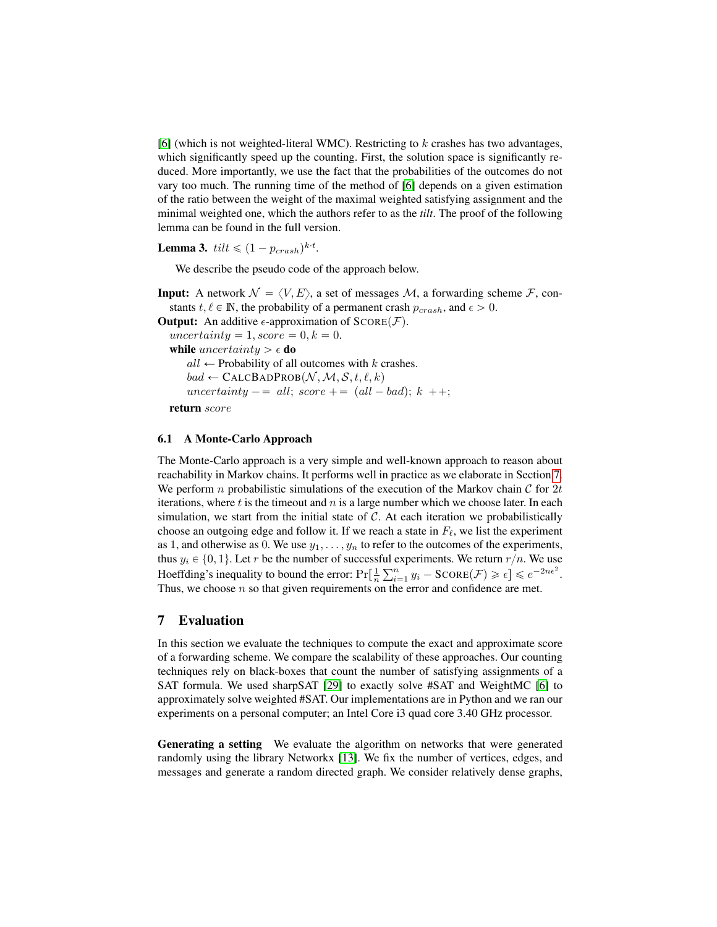[\[6\]](#page-15-15) (which is not weighted-literal WMC). Restricting to  $k$  crashes has two advantages, which significantly speed up the counting. First, the solution space is significantly reduced. More importantly, we use the fact that the probabilities of the outcomes do not vary too much. The running time of the method of [\[6\]](#page-15-15) depends on a given estimation of the ratio between the weight of the maximal weighted satisfying assignment and the minimal weighted one, which the authors refer to as the *tilt*. The proof of the following lemma can be found in the full version.

**Lemma 3.**  $\text{tilt} \leq (1 - p_{\text{crash}})^{k \cdot t}$ .

We describe the pseudo code of the approach below.

**Input:** A network  $\mathcal{N} = \langle V, E \rangle$ , a set of messages M, a forwarding scheme F, constants  $t, \ell \in \mathbb{N}$ , the probability of a permanent crash  $p_{crash}$ , and  $\epsilon > 0$ .

**Output:** An additive  $\epsilon$ -approximation of SCORE $(\mathcal{F})$ . uncertainty  $= 1$ , score  $= 0, k = 0$ . while *uncertainty*  $> \epsilon$  do  $all \leftarrow$  Probability of all outcomes with k crashes.  $bad \leftarrow \text{CALCBADPROB}(\mathcal{N}, \mathcal{M}, \mathcal{S}, t, \ell, k)$ uncertainty  $-$  all; score  $+$   $=$   $(all - bad); k$   $++;$ return score

# 6.1 A Monte-Carlo Approach

The Monte-Carlo approach is a very simple and well-known approach to reason about reachability in Markov chains. It performs well in practice as we elaborate in Section [7.](#page-12-0) We perform *n* probabilistic simulations of the execution of the Markov chain  $C$  for  $2t$ iterations, where  $t$  is the timeout and  $n$  is a large number which we choose later. In each simulation, we start from the initial state of  $C$ . At each iteration we probabilistically choose an outgoing edge and follow it. If we reach a state in  $F_\ell$ , we list the experiment as 1, and otherwise as 0. We use  $y_1, \ldots, y_n$  to refer to the outcomes of the experiments, thus  $y_i \in \{0, 1\}$ . Let r be the number of successful experiments. We return  $r/n$ . We use Hoeffding's inequality to bound the error:  $Pr[\frac{1}{n}]$ ui e $\sum^n$  $_{i=1}^{n} y_{i} - \text{SCORE}(\mathcal{F}) \geq \epsilon \leq e^{-2n\epsilon^{2}}.$ Thus, we choose  $n$  so that given requirements on the error and confidence are met.

#### <span id="page-12-0"></span>7 Evaluation

In this section we evaluate the techniques to compute the exact and approximate score of a forwarding scheme. We compare the scalability of these approaches. Our counting techniques rely on black-boxes that count the number of satisfying assignments of a SAT formula. We used sharpSAT [\[29\]](#page-16-9) to exactly solve #SAT and WeightMC [\[6\]](#page-15-15) to approximately solve weighted #SAT. Our implementations are in Python and we ran our experiments on a personal computer; an Intel Core i3 quad core 3.40 GHz processor.

Generating a setting We evaluate the algorithm on networks that were generated randomly using the library Networkx [\[13\]](#page-15-16). We fix the number of vertices, edges, and messages and generate a random directed graph. We consider relatively dense graphs,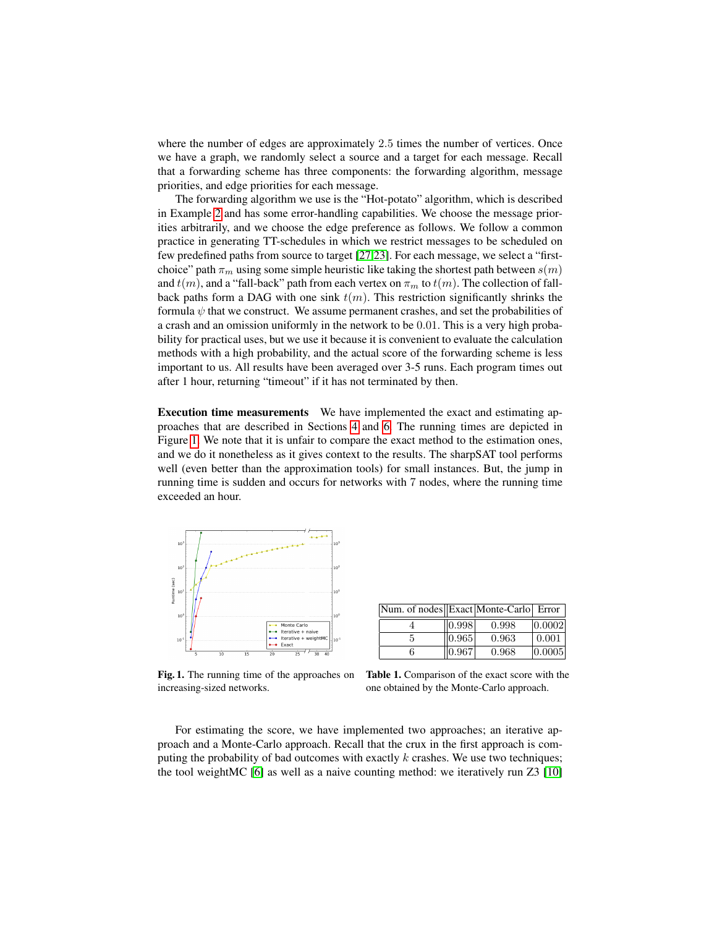where the number of edges are approximately 2.5 times the number of vertices. Once we have a graph, we randomly select a source and a target for each message. Recall that a forwarding scheme has three components: the forwarding algorithm, message priorities, and edge priorities for each message.

The forwarding algorithm we use is the "Hot-potato" algorithm, which is described in Example [2](#page-5-1) and has some error-handling capabilities. We choose the message priorities arbitrarily, and we choose the edge preference as follows. We follow a common practice in generating TT-schedules in which we restrict messages to be scheduled on few predefined paths from source to target [\[27](#page-16-13)[,23\]](#page-16-14). For each message, we select a "firstchoice" path  $\pi_m$  using some simple heuristic like taking the shortest path between  $s(m)$ and  $t(m)$ , and a "fall-back" path from each vertex on  $\pi_m$  to  $t(m)$ . The collection of fallback paths form a DAG with one sink  $t(m)$ . This restriction significantly shrinks the formula  $\psi$  that we construct. We assume permanent crashes, and set the probabilities of a crash and an omission uniformly in the network to be 0.01. This is a very high probability for practical uses, but we use it because it is convenient to evaluate the calculation methods with a high probability, and the actual score of the forwarding scheme is less important to us. All results have been averaged over 3-5 runs. Each program times out after 1 hour, returning "timeout" if it has not terminated by then.

Execution time measurements We have implemented the exact and estimating approaches that are described in Sections [4](#page-8-2) and [6.](#page-11-0) The running times are depicted in Figure [1.](#page-13-0) We note that it is unfair to compare the exact method to the estimation ones, and we do it nonetheless as it gives context to the results. The sharpSAT tool performs well (even better than the approximation tools) for small instances. But, the jump in running time is sudden and occurs for networks with 7 nodes, where the running time exceeded an hour.



<span id="page-13-0"></span>Fig. 1. The running time of the approaches on increasing-sized networks.

| Num. of nodes Exact Monte-Carlo Error |       |       |        |
|---------------------------------------|-------|-------|--------|
|                                       | 0.998 | 0.998 | 0.0002 |
|                                       | 0.965 | 0.963 | 0.001  |
|                                       | 0.967 | 0.968 | 0.0005 |

<span id="page-13-1"></span>Table 1. Comparison of the exact score with the one obtained by the Monte-Carlo approach.

For estimating the score, we have implemented two approaches; an iterative approach and a Monte-Carlo approach. Recall that the crux in the first approach is computing the probability of bad outcomes with exactly  $k$  crashes. We use two techniques; the tool weightMC [\[6\]](#page-15-15) as well as a naive counting method: we iteratively run Z3 [\[10\]](#page-15-11)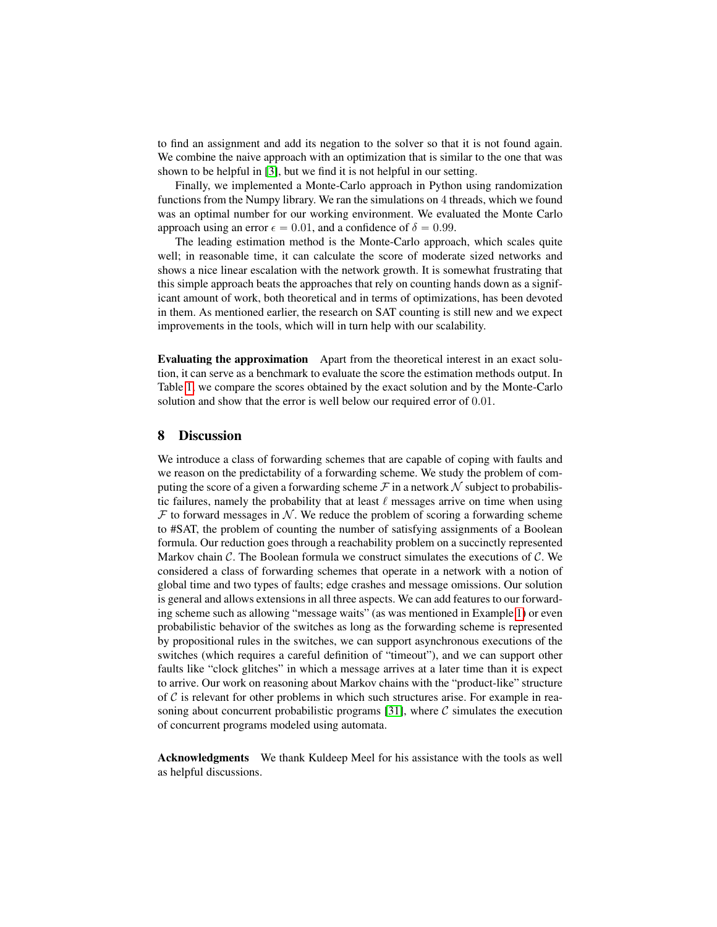to find an assignment and add its negation to the solver so that it is not found again. We combine the naive approach with an optimization that is similar to the one that was shown to be helpful in [\[3\]](#page-15-6), but we find it is not helpful in our setting.

Finally, we implemented a Monte-Carlo approach in Python using randomization functions from the Numpy library. We ran the simulations on 4 threads, which we found was an optimal number for our working environment. We evaluated the Monte Carlo approach using an error  $\epsilon = 0.01$ , and a confidence of  $\delta = 0.99$ .

The leading estimation method is the Monte-Carlo approach, which scales quite well; in reasonable time, it can calculate the score of moderate sized networks and shows a nice linear escalation with the network growth. It is somewhat frustrating that this simple approach beats the approaches that rely on counting hands down as a significant amount of work, both theoretical and in terms of optimizations, has been devoted in them. As mentioned earlier, the research on SAT counting is still new and we expect improvements in the tools, which will in turn help with our scalability.

Evaluating the approximation Apart from the theoretical interest in an exact solution, it can serve as a benchmark to evaluate the score the estimation methods output. In Table [1,](#page-13-1) we compare the scores obtained by the exact solution and by the Monte-Carlo solution and show that the error is well below our required error of 0.01.

#### <span id="page-14-0"></span>8 Discussion

We introduce a class of forwarding schemes that are capable of coping with faults and we reason on the predictability of a forwarding scheme. We study the problem of computing the score of a given a forwarding scheme  $\mathcal F$  in a network  $\mathcal N$  subject to probabilistic failures, namely the probability that at least  $\ell$  messages arrive on time when using  $F$  to forward messages in  $N$ . We reduce the problem of scoring a forwarding scheme to #SAT, the problem of counting the number of satisfying assignments of a Boolean formula. Our reduction goes through a reachability problem on a succinctly represented Markov chain  $\mathcal{C}$ . The Boolean formula we construct simulates the executions of  $\mathcal{C}$ . We considered a class of forwarding schemes that operate in a network with a notion of global time and two types of faults; edge crashes and message omissions. Our solution is general and allows extensions in all three aspects. We can add features to our forwarding scheme such as allowing "message waits" (as was mentioned in Example [1\)](#page-5-0) or even probabilistic behavior of the switches as long as the forwarding scheme is represented by propositional rules in the switches, we can support asynchronous executions of the switches (which requires a careful definition of "timeout"), and we can support other faults like "clock glitches" in which a message arrives at a later time than it is expect to arrive. Our work on reasoning about Markov chains with the "product-like" structure of  $C$  is relevant for other problems in which such structures arise. For example in rea-soning about concurrent probabilistic programs [\[31\]](#page-16-15), where  $\mathcal C$  simulates the execution of concurrent programs modeled using automata.

Acknowledgments We thank Kuldeep Meel for his assistance with the tools as well as helpful discussions.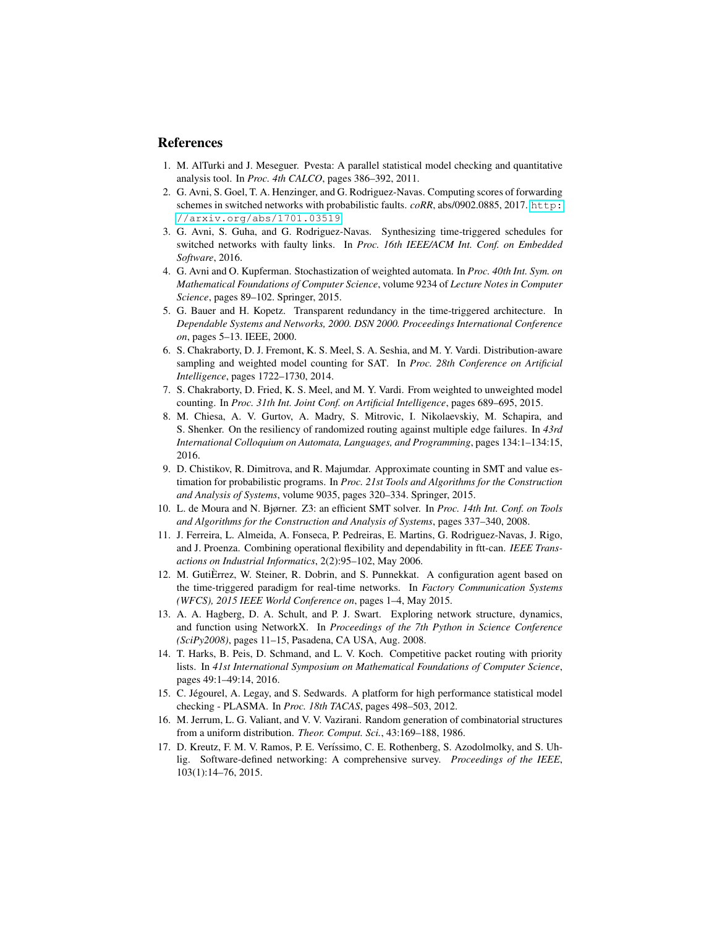## References

- <span id="page-15-13"></span>1. M. AlTurki and J. Meseguer. Pvesta: A parallel statistical model checking and quantitative analysis tool. In *Proc. 4th CALCO*, pages 386–392, 2011.
- <span id="page-15-14"></span>2. G. Avni, S. Goel, T. A. Henzinger, and G. Rodriguez-Navas. Computing scores of forwarding schemes in switched networks with probabilistic faults.  $coRR$ , abs/0902.0885, 2017. [http:](http://arxiv.org/abs/1701.03519) [//arxiv.org/abs/1701.03519](http://arxiv.org/abs/1701.03519).
- <span id="page-15-6"></span>3. G. Avni, S. Guha, and G. Rodriguez-Navas. Synthesizing time-triggered schedules for switched networks with faulty links. In *Proc. 16th IEEE/ACM Int. Conf. on Embedded Software*, 2016.
- <span id="page-15-5"></span>4. G. Avni and O. Kupferman. Stochastization of weighted automata. In *Proc. 40th Int. Sym. on Mathematical Foundations of Computer Science*, volume 9234 of *Lecture Notes in Computer Science*, pages 89–102. Springer, 2015.
- <span id="page-15-2"></span>5. G. Bauer and H. Kopetz. Transparent redundancy in the time-triggered architecture. In *Dependable Systems and Networks, 2000. DSN 2000. Proceedings International Conference on*, pages 5–13. IEEE, 2000.
- <span id="page-15-15"></span>6. S. Chakraborty, D. J. Fremont, K. S. Meel, S. A. Seshia, and M. Y. Vardi. Distribution-aware sampling and weighted model counting for SAT. In *Proc. 28th Conference on Artificial Intelligence*, pages 1722–1730, 2014.
- <span id="page-15-10"></span>7. S. Chakraborty, D. Fried, K. S. Meel, and M. Y. Vardi. From weighted to unweighted model counting. In *Proc. 31th Int. Joint Conf. on Artificial Intelligence*, pages 689–695, 2015.
- <span id="page-15-4"></span>8. M. Chiesa, A. V. Gurtov, A. Madry, S. Mitrovic, I. Nikolaevskiy, M. Schapira, and S. Shenker. On the resiliency of randomized routing against multiple edge failures. In *43rd International Colloquium on Automata, Languages, and Programming*, pages 134:1–134:15, 2016.
- <span id="page-15-9"></span>9. D. Chistikov, R. Dimitrova, and R. Majumdar. Approximate counting in SMT and value estimation for probabilistic programs. In *Proc. 21st Tools and Algorithms for the Construction and Analysis of Systems*, volume 9035, pages 320–334. Springer, 2015.
- <span id="page-15-11"></span>10. L. de Moura and N. Bjørner. Z3: an efficient SMT solver. In *Proc. 14th Int. Conf. on Tools and Algorithms for the Construction and Analysis of Systems*, pages 337–340, 2008.
- <span id="page-15-0"></span>11. J. Ferreira, L. Almeida, A. Fonseca, P. Pedreiras, E. Martins, G. Rodriguez-Navas, J. Rigo, and J. Proenza. Combining operational flexibility and dependability in ftt-can. *IEEE Transactions on Industrial Informatics*, 2(2):95–102, May 2006.
- <span id="page-15-1"></span>12. M. GutiErrez, W. Steiner, R. Dobrin, and S. Punnekkat. A configuration agent based on ` the time-triggered paradigm for real-time networks. In *Factory Communication Systems (WFCS), 2015 IEEE World Conference on*, pages 1–4, May 2015.
- <span id="page-15-16"></span>13. A. A. Hagberg, D. A. Schult, and P. J. Swart. Exploring network structure, dynamics, and function using NetworkX. In *Proceedings of the 7th Python in Science Conference (SciPy2008)*, pages 11–15, Pasadena, CA USA, Aug. 2008.
- <span id="page-15-7"></span>14. T. Harks, B. Peis, D. Schmand, and L. V. Koch. Competitive packet routing with priority lists. In *41st International Symposium on Mathematical Foundations of Computer Science*, pages 49:1–49:14, 2016.
- <span id="page-15-12"></span>15. C. Jégourel, A. Legay, and S. Sedwards. A platform for high performance statistical model checking - PLASMA. In *Proc. 18th TACAS*, pages 498–503, 2012.
- <span id="page-15-8"></span>16. M. Jerrum, L. G. Valiant, and V. V. Vazirani. Random generation of combinatorial structures from a uniform distribution. *Theor. Comput. Sci.*, 43:169–188, 1986.
- <span id="page-15-3"></span>17. D. Kreutz, F. M. V. Ramos, P. E. Veríssimo, C. E. Rothenberg, S. Azodolmolky, and S. Uhlig. Software-defined networking: A comprehensive survey. *Proceedings of the IEEE*, 103(1):14–76, 2015.